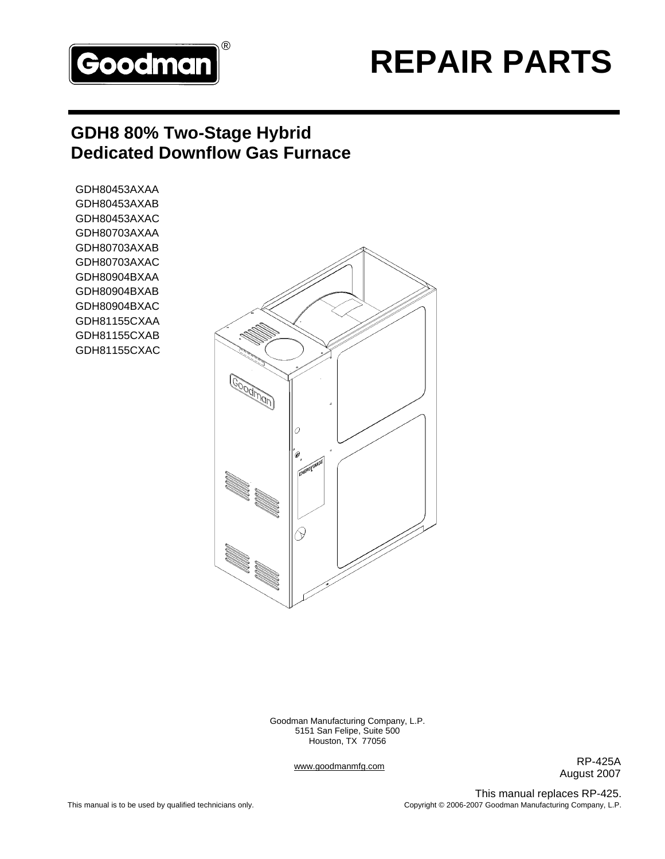

# **REPAIR PARTS** ®

## **GDH8 80% Two-Stage Hybrid Dedicated Downflow Gas Furnace**

GDH80453AXAA GDH80453AXAB GDH80453AXAC GDH80703AXAA GDH80703AXAB GDH80703AXAC GDH80904BXAA GDH80904BXAB GDH80904BXAC GDH81155CXAA GDH81155CXAB GDH81155CXAC



Goodman Manufacturing Company, L.P. 5151 San Felipe, Suite 500 Houston, TX 77056

www.goodmanmfg.com

RP-425A August 2007

This manual replaces RP-425. Copyright © 2006-2007 Goodman Manufacturing Company, L.P.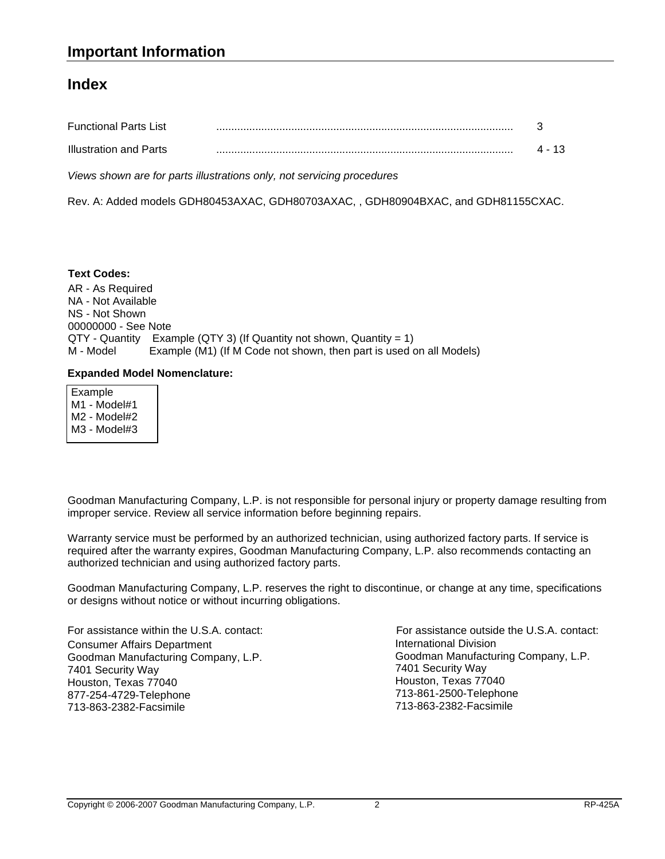#### **Index**

| <b>Functional Parts List</b>  |  |
|-------------------------------|--|
| <b>Illustration and Parts</b> |  |

*Views shown are for parts illustrations only, not servicing procedures*

Rev. A: Added models GDH80453AXAC, GDH80703AXAC, , GDH80904BXAC, and GDH81155CXAC.

AR - As Required NA - Not Available NS - Not Shown 00000000 - See Note QTY - Quantity Example (QTY 3) (If Quantity not shown, Quantity = 1) M - Model Example (M1) (If M Code not shown, then part is used on all Models) **Text Codes:**

#### **Expanded Model Nomenclature:**

 Example M1 - Model#1 M2 - Model#2 M3 - Model#3

Goodman Manufacturing Company, L.P. is not responsible for personal injury or property damage resulting from improper service. Review all service information before beginning repairs.

Warranty service must be performed by an authorized technician, using authorized factory parts. If service is required after the warranty expires, Goodman Manufacturing Company, L.P. also recommends contacting an authorized technician and using authorized factory parts.

Goodman Manufacturing Company, L.P. reserves the right to discontinue, or change at any time, specifications or designs without notice or without incurring obligations.

For assistance within the U.S.A. contact: Consumer Affairs Department Goodman Manufacturing Company, L.P. 7401 Security Way Houston, Texas 77040 877-254-4729-Telephone 713-863-2382-Facsimile

International Division Goodman Manufacturing Company, L.P. 7401 Security Way Houston, Texas 77040 713-861-2500-Telephone 713-863-2382-Facsimile For assistance outside the U.S.A. contact: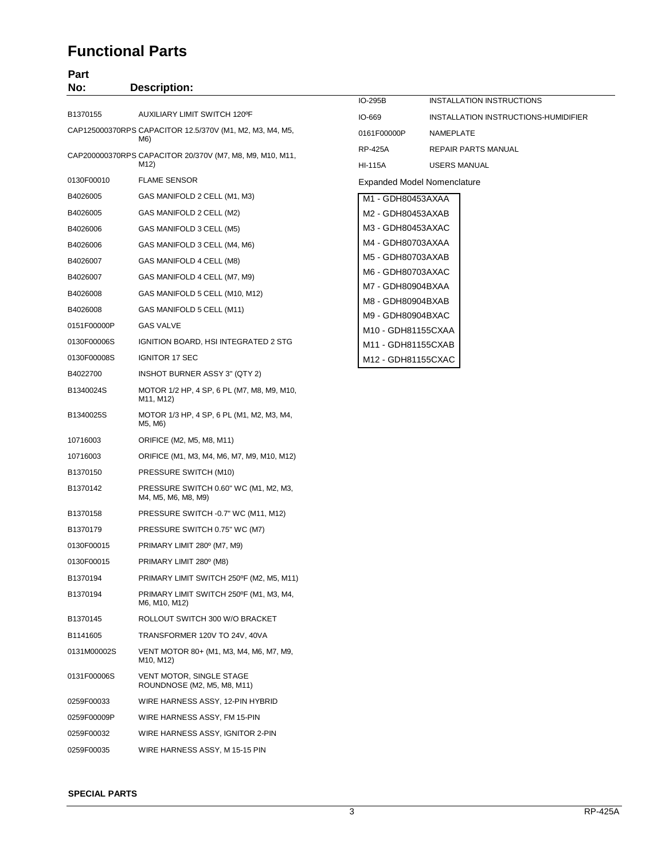#### **Functional Parts**

### **Part**

| No:         | <b>Description:</b>                                                            |                                         |                                            |
|-------------|--------------------------------------------------------------------------------|-----------------------------------------|--------------------------------------------|
|             |                                                                                | IO-295B                                 | INSTALLATION INSTRUCTIONS                  |
| B1370155    | AUXILIARY LIMIT SWITCH 120°F                                                   | IO-669                                  | INSTALLATION INSTRUCTIONS-HUMIDIFIER       |
|             | CAP125000370RPS CAPACITOR 12.5/370V (M1, M2, M3, M4, M5,<br>M6)                | 0161F00000P                             | NAMEPLATE                                  |
|             | CAP200000370RPS CAPACITOR 20/370V (M7, M8, M9, M10, M11,<br>M12)               | <b>RP-425A</b><br><b>HI-115A</b>        | <b>REPAIR PARTS MANUAL</b><br>USERS MANUAL |
| 0130F00010  | <b>FLAME SENSOR</b>                                                            |                                         | <b>Expanded Model Nomenclature</b>         |
| B4026005    | GAS MANIFOLD 2 CELL (M1, M3)                                                   | M1 - GDH80453AXAA                       |                                            |
| B4026005    | GAS MANIFOLD 2 CELL (M2)                                                       | M2 - GDH80453AXAB                       |                                            |
| B4026006    | GAS MANIFOLD 3 CELL (M5)                                                       | M3 - GDH80453AXAC                       |                                            |
| B4026006    | GAS MANIFOLD 3 CELL (M4, M6)                                                   | M4 - GDH80703AXAA                       |                                            |
| B4026007    | GAS MANIFOLD 4 CELL (M8)                                                       | M5 - GDH80703AXAB                       |                                            |
| B4026007    | GAS MANIFOLD 4 CELL (M7, M9)                                                   | M6 - GDH80703AXAC                       |                                            |
| B4026008    | GAS MANIFOLD 5 CELL (M10, M12)                                                 | M7 - GDH80904BXAA                       |                                            |
| B4026008    | GAS MANIFOLD 5 CELL (M11)                                                      | M8 - GDH80904BXAB                       |                                            |
| 0151F00000P | <b>GAS VALVE</b>                                                               | M9 - GDH80904BXAC<br>M10 - GDH81155CXAA |                                            |
| 0130F00006S | IGNITION BOARD, HSI INTEGRATED 2 STG                                           | M11 - GDH81155CXAB                      |                                            |
| 0130F00008S | <b>IGNITOR 17 SEC</b>                                                          | M12 - GDH81155CXAC                      |                                            |
| B4022700    | INSHOT BURNER ASSY 3" (QTY 2)                                                  |                                         |                                            |
| B1340024S   | MOTOR 1/2 HP, 4 SP, 6 PL (M7, M8, M9, M10,<br>M11, M12)                        |                                         |                                            |
| B1340025S   | MOTOR 1/3 HP, 4 SP, 6 PL (M1, M2, M3, M4,<br>M5, M6)                           |                                         |                                            |
| 10716003    | ORIFICE (M2, M5, M8, M11)                                                      |                                         |                                            |
| 10716003    | ORIFICE (M1, M3, M4, M6, M7, M9, M10, M12)                                     |                                         |                                            |
| B1370150    | PRESSURE SWITCH (M10)                                                          |                                         |                                            |
| B1370142    | PRESSURE SWITCH 0.60" WC (M1, M2, M3,<br>M4, M5, M6, M8, M9)                   |                                         |                                            |
| B1370158    | PRESSURE SWITCH -0.7" WC (M11, M12)                                            |                                         |                                            |
| B1370179    | PRESSURE SWITCH 0.75" WC (M7)                                                  |                                         |                                            |
| 0130F00015  | PRIMARY LIMIT 280° (M7, M9)                                                    |                                         |                                            |
| 0130F00015  | PRIMARY LIMIT 280° (M8)                                                        |                                         |                                            |
| B1370194    | PRIMARY LIMIT SWITCH 250°F (M2, M5, M11)                                       |                                         |                                            |
| B1370194    | PRIMARY LIMIT SWITCH 250°F (M1, M3, M4,<br>M6, M10, M12)                       |                                         |                                            |
| B1370145    | ROLLOUT SWITCH 300 W/O BRACKET                                                 |                                         |                                            |
| B1141605    | TRANSFORMER 120V TO 24V, 40VA                                                  |                                         |                                            |
| 0131M00002S | VENT MOTOR 80+ (M1, M3, M4, M6, M7, M9,<br>M <sub>10</sub> , M <sub>12</sub> ) |                                         |                                            |
| 0131F00006S | <b>VENT MOTOR, SINGLE STAGE</b><br>ROUNDNOSE (M2, M5, M8, M11)                 |                                         |                                            |
| 0259F00033  | WIRE HARNESS ASSY, 12-PIN HYBRID                                               |                                         |                                            |

0259F00009P WIRE HARNESS ASSY, FM 15-PIN 0259F00032 WIRE HARNESS ASSY, IGNITOR 2-PIN 0259F00035 WIRE HARNESS ASSY, M 15-15 PIN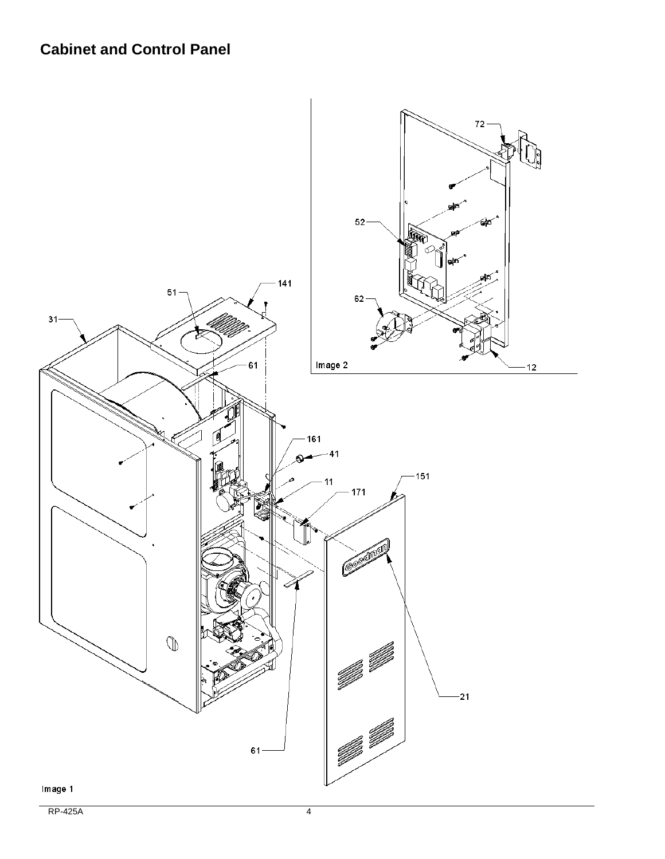#### **Cabinet and Control Panel**

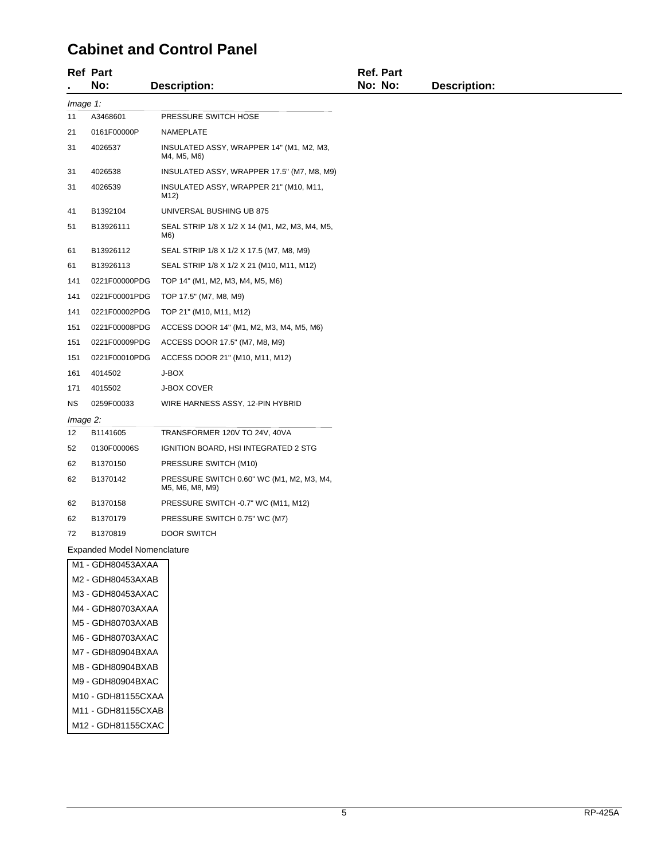#### **Cabinet and Control Panel**

|          | <b>Ref Part</b><br>No:             | <b>Description:</b>                                          | <b>Ref. Part</b><br>No: No: | <b>Description:</b> |
|----------|------------------------------------|--------------------------------------------------------------|-----------------------------|---------------------|
| Image 1: |                                    |                                                              |                             |                     |
| 11       | A3468601                           | PRESSURE SWITCH HOSE                                         |                             |                     |
| 21       | 0161F00000P                        | NAMEPLATE                                                    |                             |                     |
| 31       | 4026537                            | INSULATED ASSY, WRAPPER 14" (M1, M2, M3,<br>M4, M5, M6)      |                             |                     |
| 31       | 4026538                            | INSULATED ASSY, WRAPPER 17.5" (M7, M8, M9)                   |                             |                     |
| 31       | 4026539                            | INSULATED ASSY, WRAPPER 21" (M10, M11,<br>M12)               |                             |                     |
| 41       | B1392104                           | UNIVERSAL BUSHING UB 875                                     |                             |                     |
| 51       | B13926111                          | SEAL STRIP 1/8 X 1/2 X 14 (M1, M2, M3, M4, M5,<br>M6)        |                             |                     |
| 61       | B13926112                          | SEAL STRIP 1/8 X 1/2 X 17.5 (M7, M8, M9)                     |                             |                     |
| 61       | B13926113                          | SEAL STRIP 1/8 X 1/2 X 21 (M10, M11, M12)                    |                             |                     |
| 141      | 0221F00000PDG                      | TOP 14" (M1, M2, M3, M4, M5, M6)                             |                             |                     |
| 141      | 0221F00001PDG                      | TOP 17.5" (M7, M8, M9)                                       |                             |                     |
| 141      | 0221F00002PDG                      | TOP 21" (M10, M11, M12)                                      |                             |                     |
| 151      | 0221F00008PDG                      | ACCESS DOOR 14" (M1, M2, M3, M4, M5, M6)                     |                             |                     |
| 151      | 0221F00009PDG                      | ACCESS DOOR 17.5" (M7, M8, M9)                               |                             |                     |
| 151      | 0221F00010PDG                      | ACCESS DOOR 21" (M10, M11, M12)                              |                             |                     |
| 161      | 4014502                            | J-BOX                                                        |                             |                     |
| 171      | 4015502                            | <b>J-BOX COVER</b>                                           |                             |                     |
| ΝS       | 0259F00033                         | WIRE HARNESS ASSY, 12-PIN HYBRID                             |                             |                     |
| Image 2: |                                    |                                                              |                             |                     |
| 12       | B1141605                           | TRANSFORMER 120V TO 24V, 40VA                                |                             |                     |
| 52       | 0130F00006S                        | IGNITION BOARD, HSI INTEGRATED 2 STG                         |                             |                     |
| 62       | B1370150                           | PRESSURE SWITCH (M10)                                        |                             |                     |
| 62       | B1370142                           | PRESSURE SWITCH 0.60" WC (M1, M2, M3, M4,<br>M5, M6, M8, M9) |                             |                     |
| 62       | B1370158                           | PRESSURE SWITCH -0.7" WC (M11, M12)                          |                             |                     |
| 62       | B1370179                           | PRESSURE SWITCH 0.75" WC (M7)                                |                             |                     |
| 72       | B1370819                           | <b>DOOR SWITCH</b>                                           |                             |                     |
|          | <b>Expanded Model Nomenclature</b> |                                                              |                             |                     |
|          | M1 - GDH80453AXAA                  |                                                              |                             |                     |
|          | $M2 - GDH80453AYAR$                |                                                              |                             |                     |

M2 - GDH80453AXAB M3 - GDH80453AXAC M4 - GDH80703AXAA M5 - GDH80703AXAB M6 - GDH80703AXAC M7 - GDH80904BXAA M8 - GDH80904BXAB M9 - GDH80904BXAC M10 - GDH81155CXAA M11 - GDH81155CXAB M12 - GDH81155CXAC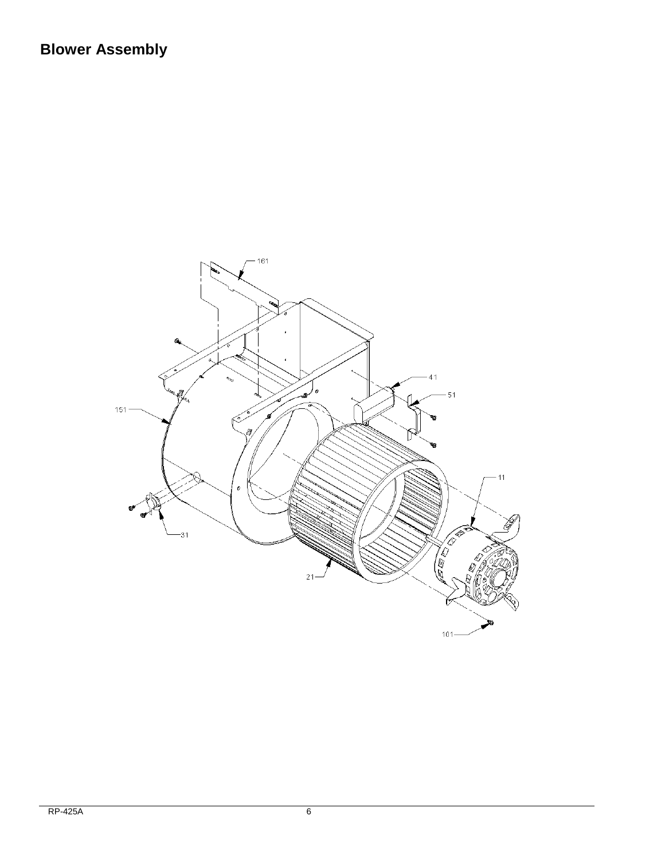# **Blower Assembly**

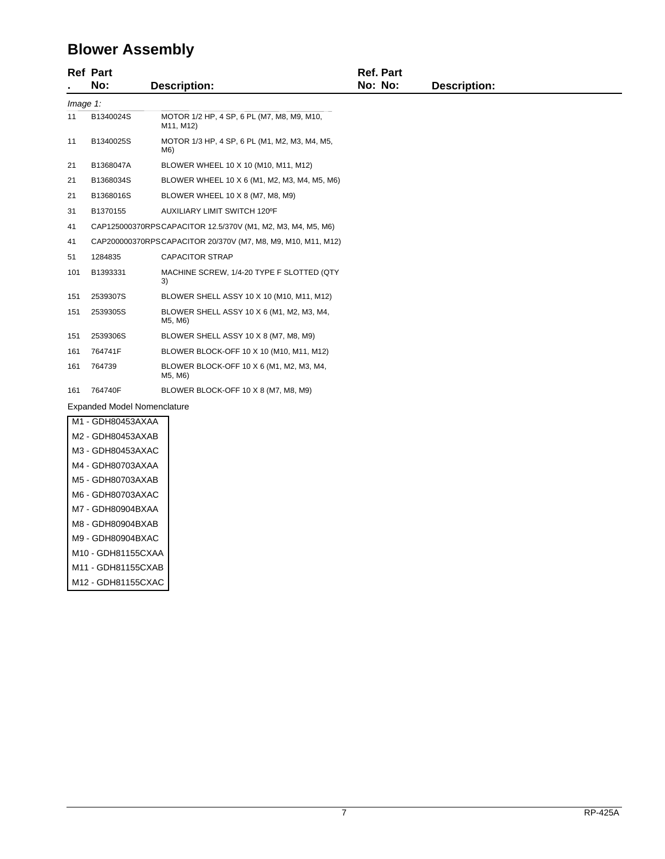# **Blower Assembly**

|             | <b>Ref Part</b>                    |                                                              | <b>Ref. Part</b> |                     |
|-------------|------------------------------------|--------------------------------------------------------------|------------------|---------------------|
|             | No:                                | <b>Description:</b>                                          | No: No:          | <b>Description:</b> |
| $Image 1$ : |                                    |                                                              |                  |                     |
| 11          | B1340024S                          | MOTOR 1/2 HP, 4 SP, 6 PL (M7, M8, M9, M10,<br>M11, M12)      |                  |                     |
| 11          | B1340025S                          | MOTOR 1/3 HP, 4 SP, 6 PL (M1, M2, M3, M4, M5,<br>M6)         |                  |                     |
| 21          | B1368047A                          | BLOWER WHEEL 10 X 10 (M10, M11, M12)                         |                  |                     |
| 21          | B1368034S                          | BLOWER WHEEL 10 X 6 (M1, M2, M3, M4, M5, M6)                 |                  |                     |
| 21          | B1368016S                          | BLOWER WHEEL 10 X 8 (M7, M8, M9)                             |                  |                     |
| 31          | B1370155                           | AUXILIARY LIMIT SWITCH 120°F                                 |                  |                     |
| 41          |                                    | CAP125000370RPSCAPACITOR 12.5/370V (M1, M2, M3, M4, M5, M6)  |                  |                     |
| 41          |                                    | CAP200000370RPSCAPACITOR 20/370V (M7, M8, M9, M10, M11, M12) |                  |                     |
| 51          | 1284835                            | <b>CAPACITOR STRAP</b>                                       |                  |                     |
| 101         | B1393331                           | MACHINE SCREW, 1/4-20 TYPE F SLOTTED (QTY<br>3)              |                  |                     |
| 151         | 2539307S                           | BLOWER SHELL ASSY 10 X 10 (M10, M11, M12)                    |                  |                     |
| 151         | 2539305S                           | BLOWER SHELL ASSY 10 X 6 (M1, M2, M3, M4,<br>M5, M6)         |                  |                     |
| 151         | 2539306S                           | BLOWER SHELL ASSY 10 X 8 (M7, M8, M9)                        |                  |                     |
| 161         | 764741F                            | BLOWER BLOCK-OFF 10 X 10 (M10, M11, M12)                     |                  |                     |
| 161         | 764739                             | BLOWER BLOCK-OFF 10 X 6 (M1, M2, M3, M4,<br>M5, M6)          |                  |                     |
| 161         | 764740F                            | BLOWER BLOCK-OFF 10 X 8 (M7, M8, M9)                         |                  |                     |
|             | <b>Expanded Model Nomenclature</b> |                                                              |                  |                     |
|             | M1 - GDH80453AXAA                  |                                                              |                  |                     |
|             | M2 - GDH80453AXAB                  |                                                              |                  |                     |
|             | M3 - GDH80453AXAC                  |                                                              |                  |                     |

| M2 - GDH80453AXAB  |
|--------------------|
| M3 - GDH80453AXAC  |
| M4 - GDH80703AXAA  |
| M5 - GDH80703AXAB  |
| M6 - GDH80703AXAC  |
| M7 - GDH80904BXAA  |
| M8 - GDH80904BXAB  |
| M9 - GDH80904BXAC  |
| M10 - GDH81155CXAA |
| M11 - GDH81155CXAB |
| M12 - GDH81155CXAC |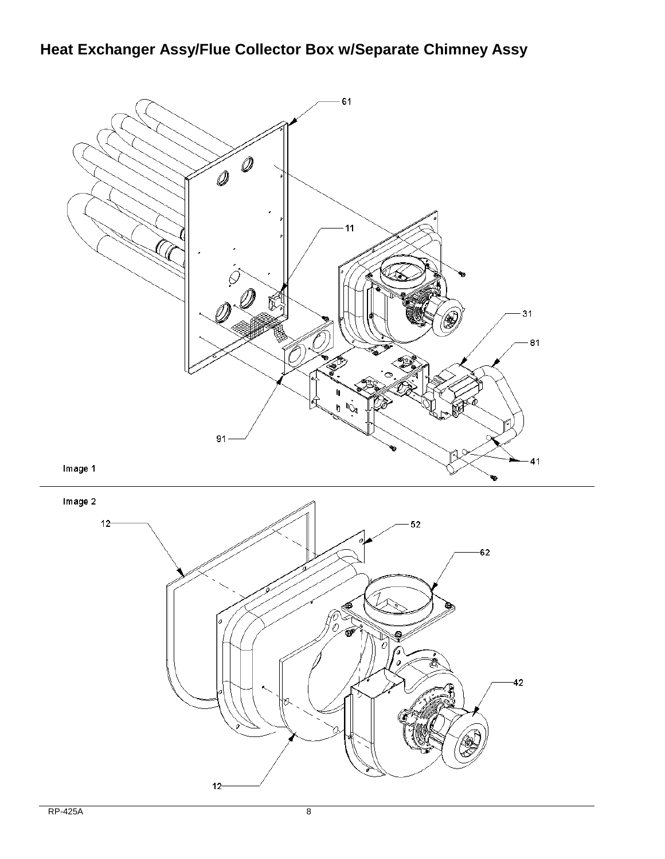# **Heat Exchanger Assy/Flue Collector Box w/Separate Chimney Assy**

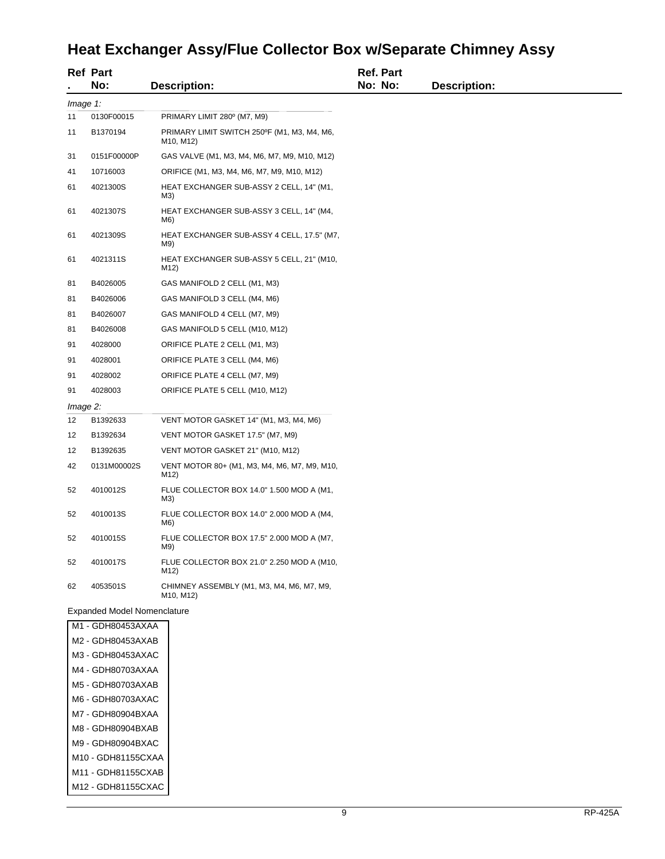# **Heat Exchanger Assy/Flue Collector Box w/Separate Chimney Assy**

|          | <b>Ref Part</b><br>No:      | <b>Description:</b>                                                                | Ref. Part<br>No: No: | <b>Description:</b> |
|----------|-----------------------------|------------------------------------------------------------------------------------|----------------------|---------------------|
| Image 1: |                             |                                                                                    |                      |                     |
| 11       | 0130F00015                  | PRIMARY LIMIT 280° (M7, M9)                                                        |                      |                     |
| 11       | B1370194                    | PRIMARY LIMIT SWITCH 250°F (M1, M3, M4, M6,<br>M <sub>10</sub> , M <sub>12</sub> ) |                      |                     |
| 31       | 0151F00000P                 | GAS VALVE (M1, M3, M4, M6, M7, M9, M10, M12)                                       |                      |                     |
| 41       | 10716003                    | ORIFICE (M1, M3, M4, M6, M7, M9, M10, M12)                                         |                      |                     |
| 61       | 4021300S                    | HEAT EXCHANGER SUB-ASSY 2 CELL, 14" (M1,<br>M3)                                    |                      |                     |
| 61       | 4021307S                    | HEAT EXCHANGER SUB-ASSY 3 CELL, 14" (M4,<br>M6)                                    |                      |                     |
| 61       | 4021309S                    | HEAT EXCHANGER SUB-ASSY 4 CELL, 17.5" (M7,<br>M9)                                  |                      |                     |
| 61       | 4021311S                    | HEAT EXCHANGER SUB-ASSY 5 CELL, 21" (M10,<br>M12)                                  |                      |                     |
| 81       | B4026005                    | GAS MANIFOLD 2 CELL (M1, M3)                                                       |                      |                     |
| 81       | B4026006                    | GAS MANIFOLD 3 CELL (M4, M6)                                                       |                      |                     |
| 81       | B4026007                    | GAS MANIFOLD 4 CELL (M7, M9)                                                       |                      |                     |
| 81       | B4026008                    | GAS MANIFOLD 5 CELL (M10, M12)                                                     |                      |                     |
| 91       | 4028000                     | ORIFICE PLATE 2 CELL (M1, M3)                                                      |                      |                     |
| 91       | 4028001                     | ORIFICE PLATE 3 CELL (M4, M6)                                                      |                      |                     |
| 91       | 4028002                     | ORIFICE PLATE 4 CELL (M7, M9)                                                      |                      |                     |
| 91       | 4028003                     | ORIFICE PLATE 5 CELL (M10, M12)                                                    |                      |                     |
| Image 2: |                             |                                                                                    |                      |                     |
| 12       | B1392633                    | VENT MOTOR GASKET 14" (M1, M3, M4, M6)                                             |                      |                     |
| 12       | B1392634                    | VENT MOTOR GASKET 17.5" (M7, M9)                                                   |                      |                     |
| 12       | B1392635                    | VENT MOTOR GASKET 21" (M10, M12)                                                   |                      |                     |
| 42       | 0131M00002S                 | VENT MOTOR 80+ (M1, M3, M4, M6, M7, M9, M10,<br>M12)                               |                      |                     |
| 52       | 4010012S                    | FLUE COLLECTOR BOX 14.0" 1.500 MOD A (M1,<br>M3)                                   |                      |                     |
| 52       | 4010013S                    | FLUE COLLECTOR BOX 14.0" 2.000 MOD A (M4,<br>M6)                                   |                      |                     |
| 52       | 4010015S                    | FLUE COLLECTOR BOX 17.5" 2.000 MOD A (M7,<br>M9)                                   |                      |                     |
| 52       | 4010017S                    | FLUE COLLECTOR BOX 21.0" 2.250 MOD A (M10,<br>M12)                                 |                      |                     |
| 62       | 4053501S                    | CHIMNEY ASSEMBLY (M1, M3, M4, M6, M7, M9,<br>M <sub>10</sub> , M <sub>12</sub> )   |                      |                     |
|          | Expanded Model Nomenclature |                                                                                    |                      |                     |
|          | M1 - GDH80453AXAA           |                                                                                    |                      |                     |
|          | M2 - GDH80453AXAB           |                                                                                    |                      |                     |
|          | M2 CDUROAE2AVAC             |                                                                                    |                      |                     |

| M3 - GDH80453AXAC  |
|--------------------|
| M4 - GDH80703AXAA  |
| M5 - GDH80703AXAB  |
| M6 - GDH80703AXAC  |
| M7 - GDH80904BXAA  |
| M8 - GDH80904BXAB  |
| M9 - GDH80904BXAC  |
| M10 - GDH81155CXAA |
| M11 - GDH81155CXAB |
| M12 - GDH81155CXAC |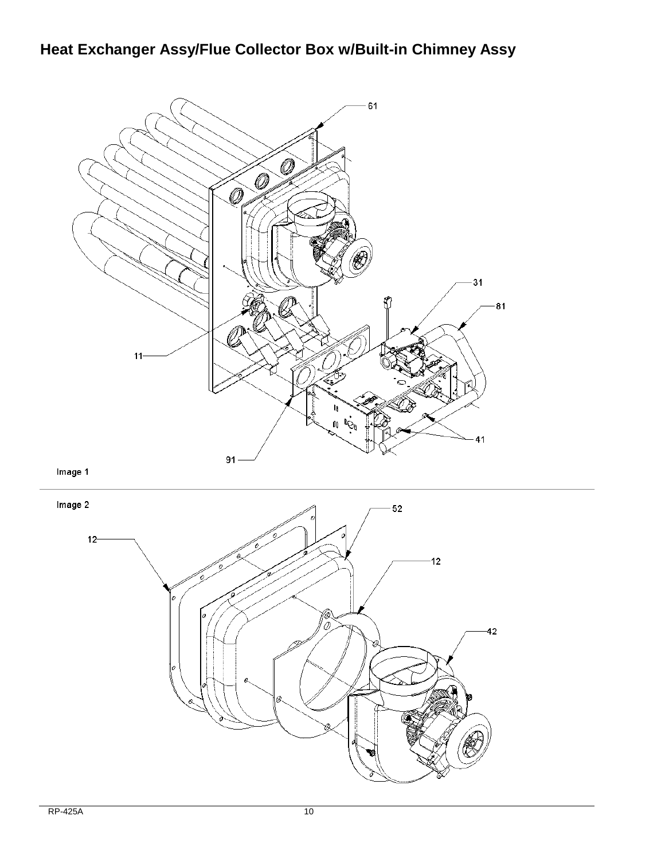# **Heat Exchanger Assy/Flue Collector Box w/Built-in Chimney Assy**



Image 1

Image 2

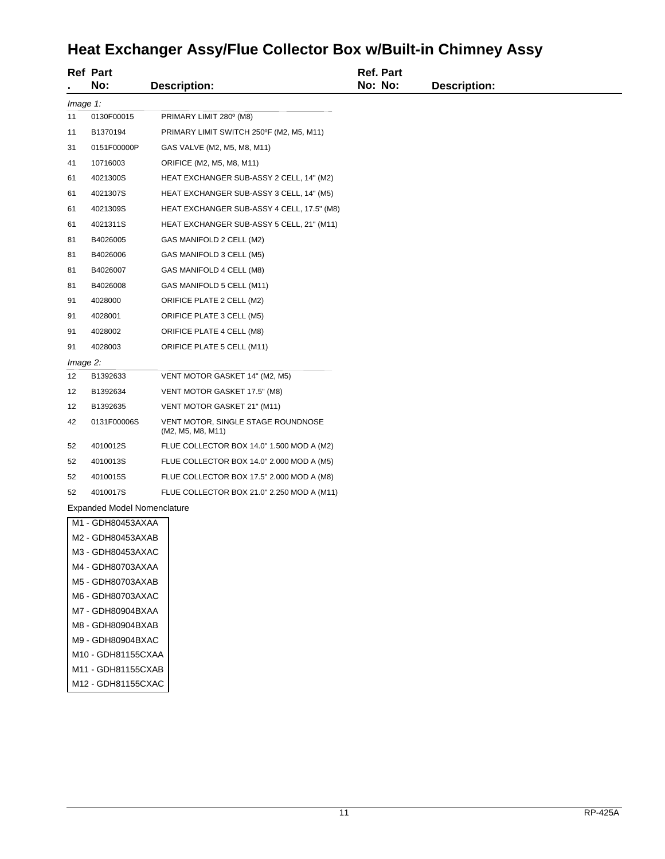# **Heat Exchanger Assy/Flue Collector Box w/Built-in Chimney Assy**

|             | <b>Ref Part</b><br>No:             | <b>Description:</b>                                     |  | <b>Ref. Part</b><br>No: No: | <b>Description:</b> |  |
|-------------|------------------------------------|---------------------------------------------------------|--|-----------------------------|---------------------|--|
|             | Image 1:                           |                                                         |  |                             |                     |  |
| 11          | 0130F00015                         | PRIMARY LIMIT 280° (M8)                                 |  |                             |                     |  |
| 11          | B1370194                           | PRIMARY LIMIT SWITCH 250°F (M2, M5, M11)                |  |                             |                     |  |
| 31          | 0151F00000P                        | GAS VALVE (M2, M5, M8, M11)                             |  |                             |                     |  |
| 41          | 10716003                           | ORIFICE (M2, M5, M8, M11)                               |  |                             |                     |  |
| 61          | 4021300S                           | HEAT EXCHANGER SUB-ASSY 2 CELL, 14" (M2)                |  |                             |                     |  |
| 61          | 4021307S                           | HEAT EXCHANGER SUB-ASSY 3 CELL, 14" (M5)                |  |                             |                     |  |
| 61          | 4021309S                           | HEAT EXCHANGER SUB-ASSY 4 CELL, 17.5" (M8)              |  |                             |                     |  |
| 61          | 4021311S                           | HEAT EXCHANGER SUB-ASSY 5 CELL, 21" (M11)               |  |                             |                     |  |
| 81          | B4026005                           | GAS MANIFOLD 2 CELL (M2)                                |  |                             |                     |  |
| 81          | B4026006                           | GAS MANIFOLD 3 CELL (M5)                                |  |                             |                     |  |
| 81          | B4026007                           | GAS MANIFOLD 4 CELL (M8)                                |  |                             |                     |  |
| 81          | B4026008                           | GAS MANIFOLD 5 CELL (M11)                               |  |                             |                     |  |
| 91          | 4028000                            | ORIFICE PLATE 2 CELL (M2)                               |  |                             |                     |  |
| 91          | 4028001                            | ORIFICE PLATE 3 CELL (M5)                               |  |                             |                     |  |
| 91          | 4028002                            | ORIFICE PLATE 4 CELL (M8)                               |  |                             |                     |  |
| 91          | 4028003                            | ORIFICE PLATE 5 CELL (M11)                              |  |                             |                     |  |
| $Image 2$ : |                                    |                                                         |  |                             |                     |  |
| 12          | B1392633                           | VENT MOTOR GASKET 14" (M2, M5)                          |  |                             |                     |  |
| 12          | B1392634                           | VENT MOTOR GASKET 17.5" (M8)                            |  |                             |                     |  |
| 12          | B1392635                           | VENT MOTOR GASKET 21" (M11)                             |  |                             |                     |  |
| 42          | 0131F00006S                        | VENT MOTOR, SINGLE STAGE ROUNDNOSE<br>(M2, M5, M8, M11) |  |                             |                     |  |
| 52          | 4010012S                           | FLUE COLLECTOR BOX 14.0" 1.500 MOD A (M2)               |  |                             |                     |  |
| 52          | 4010013S                           | FLUE COLLECTOR BOX 14.0" 2.000 MOD A (M5)               |  |                             |                     |  |
| 52          | 4010015S                           | FLUE COLLECTOR BOX 17.5" 2.000 MOD A (M8)               |  |                             |                     |  |
| 52          | 4010017S                           | FLUE COLLECTOR BOX 21.0" 2.250 MOD A (M11)              |  |                             |                     |  |
|             | <b>Expanded Model Nomenclature</b> |                                                         |  |                             |                     |  |
|             | M1 - GDH80453AXAA                  |                                                         |  |                             |                     |  |
|             | M2 - GDH80453AXAB                  |                                                         |  |                             |                     |  |
|             | M3 - GDH80453AXAC                  |                                                         |  |                             |                     |  |
|             | M4 - GDH80703AXAA                  |                                                         |  |                             |                     |  |
|             | M5 - GDH80703AXAB                  |                                                         |  |                             |                     |  |
|             | M6 - GDH80703AXAC                  |                                                         |  |                             |                     |  |
|             | M7 - GDH80904BXAA                  |                                                         |  |                             |                     |  |
|             | M8 - GDH80904BXAB                  |                                                         |  |                             |                     |  |
|             | M9 - GDH80904BXAC                  |                                                         |  |                             |                     |  |
|             | M10 - GDH81155CXAA                 |                                                         |  |                             |                     |  |
|             | M11 - GDH81155CXAB                 |                                                         |  |                             |                     |  |
|             | M12 - GDH81155CXAC                 |                                                         |  |                             |                     |  |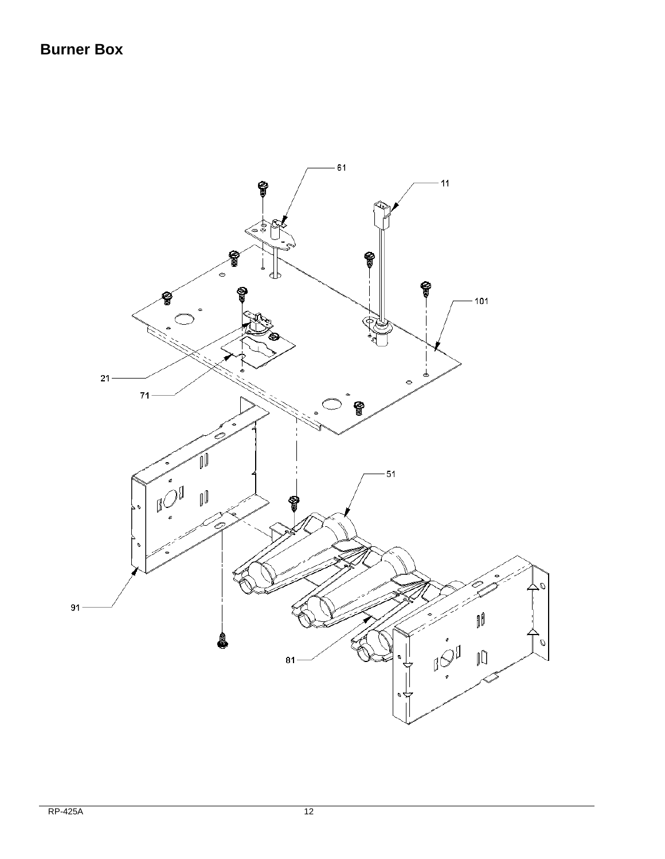